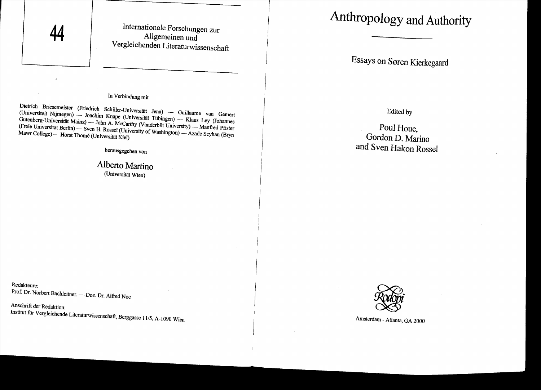**44**

Allgemeinen und Vergleichenden Literaturwissenschaft

## In Verbindung mit

Dietrich Briesemeister (Friedrich Schiller-Universität Jena) — Guillaume van Gemert (Universiteit Nijmegen) — Joachim Knape (Universität Tübingen) — Klaus Ley (Johannes Gutenberg-Universität Mainz) - John A. McCarthy (Vanderbilt University) - Manfred Pfister (Freie Universitat Berlin) -- Sven H. Rossel (University of Washington) -- Azade Seyhan (Brynn) **Mawr College) -- Horst Thomé (Universität Kjel)** 

herausgegeben von

Alberto Martino (Universität Wien)

Redakteure: Prof. Dr. Norbert Bachleitner. - Doz. Dr. Alfred Noe

Anschrift der Redaktion: Institut für Vergleichende Literaturwissenschaft, Berggasse 11/5, A-1090 Wien

## Internationale Forschungen zur **Anthropology** and Authority

Essays on Søren Kierkegaard

Edited by

Poul Houe, Gordon D. Marino and Sven Hakon Rossel



Amsterdam - Atlanta, GA 2000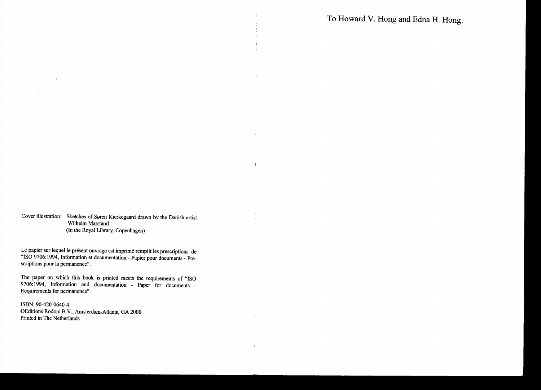$\sim$ 

 $\sim$ 

Cover illustration: Sketches of Søren Kierkegaard drawn by the Danish artist Wilhelm Marstand (In the Royal Library, Copenhagen)

 $\mathcal{A}^{\mathcal{A}}$ 

 $\ddot{ }$ 

 $\frac{1}{2}$ 

 $\mathbf{f}$ 

 $\mathcal{L}$ 

 $\pm$ 

 $\sim 10^7$ 

Le papier sur lequel le présent ouvrage est imprimé remplit les prescriptions de "ISO 9706:1994, Information et documentation - Papier pour documents - Prescriptions pour la permanence".

The paper on which this book is printed meets the requirements of "ISO 9706:1994, Information and documentation - Paper for documents -Requirements for permanence".

ISBN: 90-420-0640-4 ©Editions Rodopi B.V., Amsterdam-Atlanta, GA 2000 Printed in The Netherlands

 $\lambda$ 

 $\sim$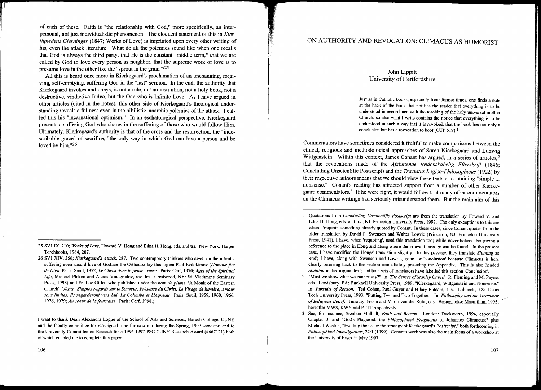of each of these. Faith is "the relationship with God," more specifically, an interpersonal, not just individualistic phenomenon. The eloquent statement ofthis in *Kjerlighedens Gjerninger* (1847; Works of Love) is imprinted upon every other writing of his, even the attack literature. What do all the polemics sound like when one recalls that God is always the third party, that He is the constant "middle term," that we are called by God to love every person as neighbor, that the supreme work of love is to presume love in the other like the "sprout in the grain"?<sup>25</sup>

All this is heard once more in Kierkegaard's proclamation of an unchanging, forgiving, self-emptying, suffering God in the "last" sermon. In the end, the authority that Kierkegaard invokes and obeys, is not a rule, not an institution, not a holy book, not a destructive, vindictive Judge, but the One who is Infinite Love. As I have argued in other articles (cited in the notes), this other side of Kierkegaard's theological understanding reveals a fullness even in the nihilistic, anarchic polemics of the attack. I called this his "incarnational optimism." In an eschatological perspective, Kierkegaard presents a suffering God who shares in the suffering of those who would follow Him. Ultimately, Kierkegaard's authority is that of the cross and the resurrection, the "indescribable grace" of sacrifice, "the only way in which God can love a person and be loved by him."26

I want to thank Dean Alexandra Logue of the School of Arts and Sciences, Baruch College, CUNY and the faculty committee for reassigned time for research during the Spring, 1997 semester, and to the University Committee on Reseach for a 1996-1997 PSC-CUNY Research Award (#667121) both of which enabled me to complete this paper.

## ON AUTHORITY AND REVOCATION: CLIMACUS AS HUMORIST

## John Lippitt University of Hertfordshire

Just as in Catholic books, especially from former times, one finds a note at the back of the book that notifies the reader that everything is to be understood in accordance with the teaching of the holy universal mother Church, so also what I write contains the notice that everything is to be understood in such a way that it is revoked, that the book has not only a conclusion but has a revocation to boot (CUP 619).1

Commentators have sometimes considered it fruitful to make comparisons between the ethical, religious and methodological approaches of Søren Kierkegaard and Ludwig Wittgenstein. Within this context, James Conant has argued, in a series of articles, <sup>2</sup> that the revocations made of the *Afsluttende uvidenskabelig Efterskrift (1846;* Concluding Unscientific Postscript) and the *Tractatus Logico-Philosophicus* (1922) by their respective authors means that we should view these texts as containing "simple ... nonsense." Conant's reading has attracted support from a number of other Kierkegaard commentators.3 Ifhe were right, it would follow that many other commentators on the Climacus writings had seriously misunderstood them. But the main aim of this

Quotations from *Concluding Unscientific Postscript* are from the translation by Howard V. and Edna H. Hong, eds. and trs., NJ: Princeton University Press, 1992. The only exceptions to this are when I 'requote' something already quoted by Conant. In these cases, since Conant quotes from the older translation by David F. Swenson and Walter Lowrie (Princeton, NJ: Princeton University Press, 1941), I have, when 'requoting', used this translation too; while nevertheless also giving a reference to the place in Hong and Hong where the relevant passage can be found. In the present case, I have modified the Hongs' translation slightly. In this passage, they translate *Slutning* as 'end'; I have, along with Swenson and Lowrie, gone for 'conclusion' because Climacus is here clearly referring back to the section immediately preceding the Appendix. This is also headed *Slutning* in the original text; and both sets of translators have labelled this section 'Conclusion'.

- 2 "Must we show what we cannot say?" In: *The Senses ofStanley Cavell.* R. Fleming and M. Payne, eds. Lewisbury, PA: Bucknell University Press, 1989; "Kierkegaard, Wittgenstein and Nonsense." In: Pursuits of Reason. Ted Cohen, Paul Guyer and Hilary Putnam, eds. Lubbock, TX: Texas Tech University Press, 1993; "Putting Two and Two Together." In: *Philosophy and the Grammar ofReligious Belief* Timothy Tessin and Mario von der Ruhr, eds. Basingstoke: Macmillan, 1995; hereafter MWS, KWN and PTTT respectively.
- 3 See, for instance, Stephen Mulhall, *Faith and Reason.* London: Duckworth, 1994, especially Chapter 3, and "God's Plagiarist: the *Philosophical Fragments* of Johannes Climacus;" plus Michael Weston, "Evading the issue: the strategy of Kierkegaard's *Postscript,"* both forthcoming in *Philosophical Investigations,* 22: 1 (1999). Conant's work was also the main focus of a workshop at the University of Essex in May 1997.

<sup>25</sup> SVI IX, 210; *Works ofLove,* Howard V. Hong and Edna H. Hong, eds. and trs. New York: Harper Torchbooks, 1964,207.

<sup>26</sup> SVI XIV, 356; *Kierkegaard's Attack,* 287. Two contemporary thinkers who dwell on the infinite, suffering even absurd love of God are the Orthodox lay theologian Paul Evdokimov *(L'amour fou de Dieu.* Paris: Seuil, 1972; *Le Christ dans Ie pensee russe.* Paris: Cerf, 1970; *Ages ofthe Spiritual Life,* Michael Plekon and Alexis Vinogradov, rev. trs. Crestwood, NY: St. Vladimir's Seminary Press, 1998) and Fr. Lev Gillet, who published under the *nom de plume* "A Monk of the Eastern Church" *(Jesus. Simples regards sur Ie Sauveur, Presence du Christ, Le Visage de lumiere, Amour sans limites, Os regarderont vers Lui, La Columbe et L'Agneau.* Paris: Seuil, 1959, 1960, 1966, 1976, 1979; *Au coeur de lafournaise.* Paris: Cerf, 1998.)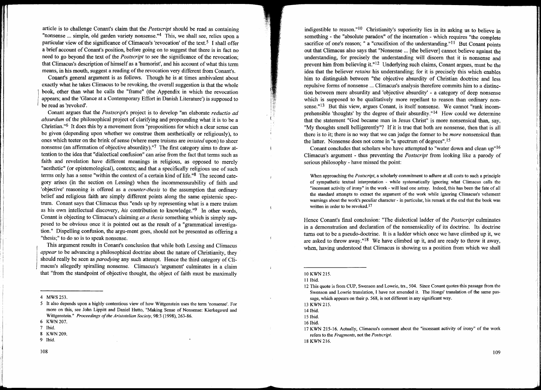article is to challenge Conant's claim that the *Postscript* should be read as containing "nonsense  $\ldots$  simple, old garden variety nonsense." $4$  This, we shall see, relies upon a particular view of the significance of Climacus's 'revocation' of the text.<sup>5</sup> I shall offer a brief account of Conant's position, before going on to suggest that there is in fact no need to go beyond the text of the *Postscript* to see the significance of the revocation; that Climacus's description of himself as a 'humorist', and his account of what this term means, in his mouth, suggest a reading of the revocation very different from Conant's.

Conant's general argument is as follows. Though he is at times ambivalent about exactly what he takes Climacus to be revoking, the overall suggestion is that the whole book, other than what he calls the "frame" (the Appendix in which the revocation appears; and the 'Glance at a Contemporary Effort in Danish Literature') is supposed to be read as 'revoked'.

Conant argues that the *Postscript's* project is to develop "an elaborate *reductio ad absurdum* of the philosophical project of clarifying and propounding what it is to be a Christian."6 It does this by a movement from "propositions for which a clear sense can be given (depending upon whether we construe them aesthetically or religiously), to ones which teeter on the brink of sense (where mere truisms are *insisted* upon) to sheer nonsense (an affirmation of objective absurdity)."7 The first category aims to draw attention to the idea that "dialectical confusion" can arise from the fact that terms such as faith and revelation have different meanings in religious, as opposed to merely "aesthetic" (or epistemological), contexts; and that a specifically religious use of such terms only has a sense "within the context of a certain kind of life."<sup>8</sup> The second category arises (in the section on Lessing) when the incommensurability of faith and 'objective' reasoning is offered as a *counter-thesis* to the assumption that ordinary belief and religious faith are simply different points along the same epistemic spectrum. Conant says that Climacus thus "ends up by representing what is a mere truism as his own intellectual discovery, *his* contribution to knowledge."9 In other words, Conant is objecting to Climacus's claiming *as a thesis* something which is simply supposed to be obvious once it is pointed out as the result of a "grammatical investigation." Dispelling confusion, the argu-ment goes, should not be presented as offering a "thesis;" to do so is to speak nonsense.

This argument results in Conant's conclusion that while both Lessing and Climacus *appear* to be advancing a philosophical doctrine about the nature of Christianity, they should really be seen as *parodying* any such attempt. Hence the third category of Climacus's allegedly spiralling nonsense. Climacus's 'argument' culminates in a claim that "from the standpoint of objective thought, the object of faith must be maximally

5 It also depends upon a highly contentious view of how Wittgenstein uses the tenn 'nonsense'. For more on this, see John Lippitt and Daniel Hutto, "Making Sense of Nonsense: Kierkegaard and Wittgenstein." *Proceedings ofthe Aristotelian Society,* 98:3 (1998), 263-86.

6 KWN207.

9 Ibid.

indigestible to reason."<sup>10</sup> Christianity's superiority lies in its asking us to believe in something - the "absolute paradox" of the incarnation - which requires "the complete sacrifice of one's reason; " a "crucifixion of the understanding."<sup>11</sup> But Conant points out that Climacus also says that "Nonsense ... [the believer] cannot believe against the understanding, for precisely the understanding will discern that it is nonsense and prevent him from believing it." $12$  Underlying such claims, Conant argues, must be the idea that the believer *retains* his understanding; for it is precisely this which enables him to distinguish between "the objective absurdity of Christian doctrine and less repulsive forms of nonsense ... Climacus's analysis therefore commits him to a distinction between mere absurdity and 'objective absurdity' - a category of deep nonsense which is supposed to be qualitatively more repellant to reason than ordinary nonsense."<sup>13</sup> But this view, argues Conant, is itself nonsense. We cannot "rank incomprehensible 'thoughts' by the degree of their absurdity."<sup>14</sup> How could we determine that the statement "God became man in Jesus Christ" is more nonsensical than, say, "My thoughts smell belligerently"? If it is true that both are nonsense, then that is all there is to it; there is no way that we can judge the former to be *more* nonsensical than the latter. Nonsense does not come in "a spectrum of degrees".<sup>15</sup>

Conant concludes that scholars who have attempted to "water down and clean up"16 Climacus's argument - thus preventing the *Postscript* from looking like a parody of serious philosophy - have missed the point:

When approaching the *Postscript,* a scholarly commitment to adhere at all costs to such a principle of sympathetic textual interpretation - while systematically ignoring what Climacus calls the "incessant activity of irony" in the work - will lead one astray. Indeed, this has been the fate of all the standard attempts to extract the argument of the work while ignoring Climacus's vehement warnings about the work's peculiar character - in particular, his remark at the end that the book was written in order to be revoked.<sup>17</sup>

Hence Conant's final conclusion: "The dialectical ladder of the *Postscript* culminates in a demonstration and declaration of the nonsensicality of its doctrine. Its'doctrine turns out to be a pseudo-doctrine. It is a ladder which once we have climbed up it, we are asked to throw away."<sup>18</sup> We have climbed up it, and are ready to throw it away, when, having understood that Climacus is showing us a position from which we shall

18 KWN216.

<sup>4</sup> MWS253.

<sup>7</sup> Ibid.

<sup>8</sup> KWN209.

<sup>10</sup> KWN 215.

II Ibid.

<sup>12</sup> This quote is from CUP, Swenson and Lowrie, trs., 504. Since Conant quotes this passage from the Swenson and Lowrie translation, I have not amended it. The Hongs' translation of the same passage, which appears on their p. 568, is not different in any significant way.

<sup>13</sup> KWN215.

<sup>14</sup> Ibid.

<sup>15</sup> Ibid.

<sup>16</sup> Ibid.

<sup>17</sup> KWN 215-16. Actually, Climacus's comment about the "incessant activity of irony" of the work refers to the *Fragments,* not the *Postscript.*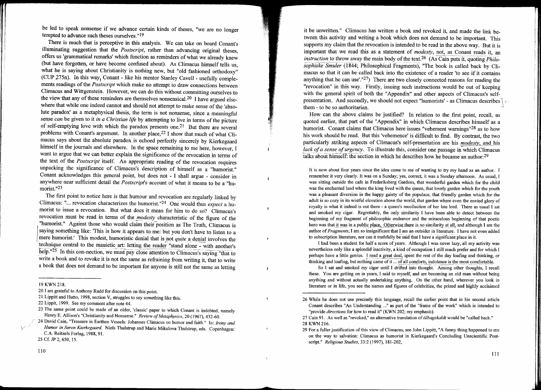be led to speak nonsense if we advance certain kinds of theses, "we are no longer tempted to advance such theses ourselves." 19

There is much that is perceptive in this analysis. We can take on board Conant's illuminating suggestion that the *Postscript,* rather than advancing original theses, offers us 'grammatical remarks' which function as reminders of what we already knew (but have forgotten, or have become confused about). As Climacus himself tells us, what he is saying about Christianity is nothing new, but "old fashioned orthodoxy" (CUP  $275n$ ). In this way, Conant - like his mentor Stanley Cavell - usefully complements readings of the *Postscript* which make no attempt to draw connections between Climacus and Wittgenstein. However, we can do this without committing ourselves to the view that any of these reminders are themselves nonsensical.<sup>20</sup> I have argued elsewhere that while one indeed cannot and should not attempt to make sense of the 'absolute paradox' as a metaphysical thesis, the term is not nonsense, since a meaningful sense *can* be given to it *in a Christian life* by attempting to live in terms of the picture of self-emptying love with which the paradox presents one.<sup>21</sup> But there are several problems with Conant's argument. In another place,  $22$  I show that much of what Climacus says about the absolute paradox is echoed perfectly sincerely by Kierkegaard himself in the journals and elsewhere. In the space remaining to me here, however, I want to argue that we can better explain the significance of the revocation in terms of the text of the *Postscript* itself. An appropriate reading of the revocation requires unpacking the significance of Climacus's description of himself as a "humorist." Conant acknowledges this general point, but does not - I shall argue - consider in anywhere near sufficient detail the *Postscript's* account of what it means to be a "humorist."23

The first point to notice here is that humour and revocation are regularly linked by Climacus: ".... revocation characterizes the humorist."24 One would thus *expect* a humorist to issue a revocation. But what does it mean for him to do so? Climacus's revocation must be read in terms of the *modesty* characteristic of the figure of the "humorist." Against those who would claim their position as The Truth, Climacus is  $\begin{cases} \n\text{si} \\
\text{in} \\
\text{te} \n\end{cases}$ saying something like: 'This is how it appears to me: but you don't have to listen to a mere humorist.' This modest, humoristic denial that is not *quite* a denial involves the technique central to the mauietic art: letting the reader "stand alone - with another's  $\overline{\text{help."}}^{25}$  In this con-nection, we must pay close attention to Climacus's saying "that to write a book and to revoke it is not the same as refraining from writing it, that to write a book that does not demand to be important for anyone is still not the same as letting

**•**

Ť

it be unwritten." Climacus has written a book and revoked it, and made the link between this activity and writing a book which does not demand to be important. This supports my claim that the revocation is intended to be read in the above way. But it is important that we read this as a statement of *modesty,* not, as Conant reads it, an *instruction* to throw away the main body of the text.<sup>26</sup> (As Cain puts it, quoting *Philo*sophiske Smuler (1844; Philosophical Fragments), "The book is called back by Climacus so that it can be called back into the existence of a reader 'to see if it contains anything that he can use'." $^{27}$ ) There are two closely connected reasons for reading the "revocation" in this way. Firstly, issuing such instructions would be out of keeping with the general spirit of both the "Appendix" and other aspects of Climacus's selfpresentation. And secondly, we should not expect "humorists' - as Climacus describes) them - to be so authoritarian.

How can the above claims be justified? In relation to the first point, recall, as quoted earlier, that part of the "Appendix" in which Climacus describes himself as a humorist. Conant claims that Climacus here issues "vehement warnings"<sup>28</sup> as to how his work should be read. But this 'vehemence' is difficult to find. By contrast, the two particularly striking aspects of Climacus's self-presentation are his *modesty*, and his *lack of a sense of urgency*. To illustrate this, consider one passage in which Climacus talks about himself: the section in which he describes how he became an author:<sup>29</sup>

It is now about four years since the idea came to me of wanting to try my hand as an author. I remember it very clearly. It was on a Sunday; yes, correct, it was a Sunday afternoon. As usual, I was sitting outside the cafe in Frederiksberg Gardens, that wonderful garden which for the child was the enchanted land where the king lived with the queen, that lovely garden which for the youth was a pleasant diversion in the happy gaiety of the populace, that friendly garden which for the adult is so cozy in its wistful elevation above the world, that garden where even the envied glory of royalty is what it indeed is out there - a queen's recollection of her late lord. There as usual I sat and smoked my cigar. Regrettably, the only similarity I have been able to detect between the beginning of my fragment of philosophic endeavor and the miraculous beginning of that poetic hero was that it was in a public place. Otherwise there is no similarity at all, and although I am the author of Fragments, I am so insignificant that I am an outsider in literature. I have not even added to subscription literature, nor can it truthfully be said that I have a significant place in it.

I had been a student for half a score of years. Although I was never lazy, all my activity was nevertheless only like a splendid inactivity, a kind of occupation I still much prefer and for which I perhaps have a little genius. I read a great deal, spent the rest of the day loafing and thinking, or thinking and loafing, but nothing came of it  $\ldots$  of all comforts, indolence is the most comfortable.

So I sat and smoked my cigar until I drifted into thought. Among other thoughts, I recall these. You are getting on in years, I said to myself, and are becoming an old man without being anything and without actually undertaking anything. On the other hand, wherever you look in literature or in life, you see the names and figures of celebrities, the prized and highly acclaimed

**»**

<sup>19</sup> KWN218.

<sup>20</sup> I am grateful to Anthony Rudd for discussion on this point.

<sup>21</sup> Lippitt and Hutto, 1998, section V, struggles to say something like this.

<sup>22</sup> Lippit, 1999. See my comment after note 44.

<sup>23</sup> The same point could be made of an older, 'classic' paper to which Conant is indebted, namely Henry E. Allison's "Christianity and Nonsense." *Review of Metaphysics*, 20 (1967), 432-60.

<sup>24</sup> David Cain, "Treasure in Earthen Vessels: Johannes Climacus on humor and faith." In: *Irony and Humor in Seren Kierkegaard.* Niels Thulstrup and Marie Mikulova Thulstrup, eds. Copenhagen: C.A. Reitzels Forlag, 1988, 91.

<sup>25</sup> Cf. JP 2, 650, 15.

<sup>26</sup> While he does not use precisely this language, recall the earlier point that in his second article Conant describes "An Understanding ..." as part of the "frame of the work" which is intended to "provide *directions* for how to read it" (KWN 202; my emphasis).

<sup>27</sup> Cain 91. As well as "revoked," an alternative translation of*tilbagekaldt* would be "called back." 28 KWN216.

<sup>29</sup> For a fuller justification ofthis view ofClimacus, see John Lippitt, "A funny thing happened to me on the way to salvation: Climacus as humorist in Kierkegaard's Concluding Unscientific Postscript." *Religious Studies,* 33:2 (1997),181-202,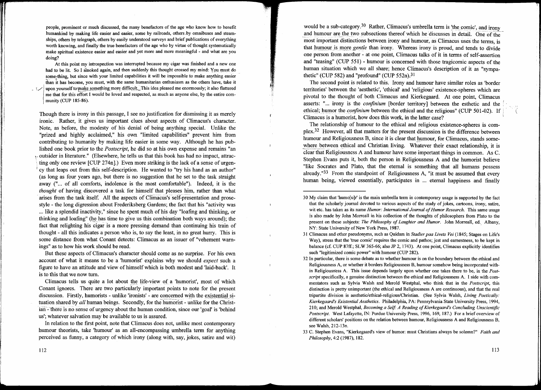people, prominent or much discussed, the many benefactors of the age who know how to benefit humankind by making life easier and easier, some by railroads, others.by omnibuses and steamships, others by telegraph, others by easily understood surveys and brief publications of everything worth knowing, and finally the true benefactors of the age who by virtue of thought systematically make spiritual existence easier and easier and yet more and more meaningful - and what are you doing?

At this point my introspection was interrupted because my cigar was finished and a new one had to be lit. So I smoked again, and then suddenly this thought crossed my mind: You must do some-thing, but since with your limited capabilities it will be impossible to make anything easier than it has become, you must, with the same humanitarian enthusiasm as the others have, take it  $\parallel$  upon yourself to make something more difficult. This idea pleased me enormously; it also flattered me that for this effort I would be loved and respected, as much as anyone else, by the entire community (CUP 185-86).

Though there is irony in this passage, I see no justification for dismissing it as merely ironic. Rather, it gives us important clues about aspects of Climacus's character. Note, as before, the modesty of his denial of being anything special. Unlike the "prized and highly acclaimed," his own "limited capabilities" prevent him from contributing to humanity by making life easier in some way. Although he has published one book prior to the *Postscript,* he did so at his own expense and remains "an \- outsider in literature." (Elsewhere, he tells us that this book has had no impact, attrac ting only one review  $\text{[CUP 274n]}$ . Even more striking is the lack of a sense of urgency that leaps out from this self-description. He wanted to "try his hand as an author" (as long as four years ago, but there is no suggestion that he set to the task straight away ("... of all comforts, indolence is the most comfortable"). Indeed, it is the *thought* of having discovered a task for himself that pleases him, rather than what arises from the task itself. All the aspects of Climacus's self-presentation and prosestyle - the long digression about Frederiksberg Gardens; the fact that his "activity was ... like a splendid inactivity," since he spent much of his day "loafing and thinking, or thinking and loafing" (he has time to give us this combination both ways around); the fact that relighting his cigar is a more pressing demand than continuing his train of thought - all this indicates a person who is, to say the least, in no great hurry. This is some distance from what Conant detects: Climacus as an issuer of "vehement warnings" as to how his work should be read.

But these aspects of Climacus's character should come as no surprise. For his own account of what it means to be a 'humorist' explains why we should *expect* such a figure to have an attitude and view of himself which is both modest and 'laid-back'. It is to this that we now tum.

In relation to the first point, note that Climacus does not, unlike most contemporary humour theorists, take 'humour' as an all-encompassing umbrella term for anything perceived as funny, a category of which irony (along with, say, jokes, satire and wit) would be a sub-category.<sup>30</sup> Rather, Climacus's umbrella term is 'the comic', and irony and humour are the two subsections thereof which he discusses in detail. One of the most important distinctions between irony and humour, as Climacus uses the terms, is that humour is more *gentle* than irony. Whereas irony is proud, and tends to divide one person from another - at one point, Climacus talks of it in terms of self-assertion and "teasing" (CUP 551) - humour is concerned with those tragicomic aspects of the human situation which we all share; hence Climacus's description of it as "sympathetic" (CUP 582) and "profound" (CUP 552n).<sup>31</sup>

The second point is related to this. Irony and humour have similar roles as 'border territories' between the 'aesthetic', 'ethical' and 'religious' existence-spheres which are pivotal to the thought of both Climacus and Kierkegaard. At one point, Climacus asserts: "... irony is the *conjinium* [border territory] between the esthetic and the ethical; humor the *conjinium* between the ethical and the religious" (CUP 501-02). If Climacus is a humorist, how does this work, in the latter case?

r

 $\mathbf{r}$ 

The relationship of humour to the ethical and religious existence-spheres is complex.32 However, all that matters for the present discussion is the difference between humour and Religiousness B, since it is clear that humour, for Climacus, stands somewhere between ethical and Christian living. Whatever their exact relationship, it is clear that Religiousness A and humour have some important things in common. As C. Stephen Evans puts it, both the person in Religiousness A and the humorist believe "like Socrates and Plato, that the eternal is something that all humans possess already." $33$  From the standpoint of Religiousness A, "it must be assumed that every human being, viewed essentially, participates in ... eternal happiness and finally

32 In particular, there is some debate as to whether humour is on the boundary between the ethical and Religiousness A, or whether it borders Religiousness B, humour somehow being incorporated within Religiousness A. This issue depends largely upon whether one takes there to be, in the *Postscript* specifically, a genuine distinction between the ethical and Religiousness A. I side with commentators such as Sylvia Walsh and Merold Westphal, who think that in the *Postscript,* this distinction is pretty unimportant (the ethical and Religiousness A are continuous), and that the real tripartite division is aesthetic/ethical-religious/Christian. (See Sylvia Walsh, *Living Poetically: Kierkegaard's Existential Aesthetics.* Philadelphia, PA: Pennsylvania State University Press, 1994, 210; and Merold Westphal, *Becoming a Self: A Reading ofKierkegaard's Concluding UnSCientific Postscript.* West Lafayette, IN: Purdue University Press, 1996, 169, 187.) For a brief overview of different scholars' positions on the relation between humour, Religiousness A and Religiousness B, see Walsh, 2l2-13n.

(

Climacus tells us quite a lot about the life-view of a 'humorist', most of which Conant ignores. There are two particularly important points to note for the present discussion. Firstly, humorists - unlike 'ironists' - are concerned with the existential situation shared by *all* human beings. Secondly, for the humorist - unlike for the Christian - there is no sense of urgency about the human condition, since our 'goal' is 'behind us'; whatever salvation may be available to us is assured.

<sup>30</sup> My claim that 'humo[u]r' is the main umbrella term in contemporary usage is supported by the fact that the scholarly journal devoted to various aspects of the study of jokes, cartoons, irony, satire, wit etc. has taken as its name *Humor: International Journal ofHumor Research.* This same usage is also made by John Morreall in his collection of the thoughts of philosophers from Plato to the present on these subjects: *The Philosophy ofLaughter and Humor.* John Morreall, ed., Albany, NY: State University of New York Press, 1987.

<sup>31</sup> Climacus and other pseudonyms, such as Quidam in *Stadier paa Livets Vei* (1845; Stages on Life's Way), stress that the 'true comic' requires the comic and pathos; jest and earnestness, to be kept in balance (cf. CUP 87ff.; SLW 365-66; also JP 2,1743). At one point, Climacus explicitly identifies such "legitimized comic power" with humour (CUP 282).

<sup>33</sup> C. Stephen Evans, "Kierkegaard's view of humor: must Christians always be solemn?" *Faith and Philosophy,* 4:2 (1987), 182.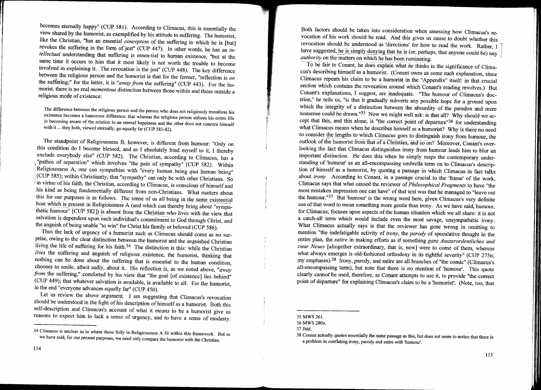becomes eternally happy" (CUP 581). According to Climacus, this is essentially the view shared by the humorist, as exemplified by his attitude to suffering. The humorist, like the Christian, "has an essential *conception* of the suffering in which he is [but] revokes the suffering in the form of jest" (CUP 447). In other words, he has an *intellectual* understanding that suffering is essen-tial to human existence, "but at the same time it occurs to him that it most likely is not worth the trouble to become involved in explaining it. The revocation is the jest" (CUP 448). The key difference between the religious person and the humorist is that for the former, "reflection is *on* the suffering;" for the latter, it is *"away from* the suffering" (CUP 443). For the humorist, there is no real *momentous* distinction between those within and those outside a religious mode of existence:

The difference between the religious person and the person who does not religiously transfonn his existence becomes a humorous difference: that whereas the religious person utilizes his entire life in becoming aware of the relation to an eternal happiness and the other does not concern himself with it ... they both, viewed eternally, go equally far (CUP 581-82).

The standpoint of Religiousness B, however, is different from humour: "Only on this condition do I become blessed, and as I absolutely bind myself to it, I thereby exclude everybody else" (CUP 582). The Christian, according to Climacus, has a "pathos of separation" which involves "the pain of sympathy" (CUP 582). Within Religiousness A, one can sympathise with "every human being *qua* human being" (CUP 585); within Christianity, that "sympathy" can only be with other Christians. So in virtue of his faith, the Christian, according to Climacus, is conscious of himself and his kind as being fundamentally different from non-Christians. What matters about this for our purposes is as follows. The sense of us all being in the same existential boat which is present in Religiousness A (and which can thereby bring about "sympathetic humour" [COP 582]) is absent from the Christian who lives with the view that salvation is dependent upon each individual's commitment to God through Christ, and the anguish of being unable "to win" for Christ his family or beloved (CUP 586).

Thus the lack of urgency of a humorist such as Climacus should come as no surprise, owing to the clear distinction between the humorist and the anguished Christian living the life of suffering for his faith.34 The distinction is this: while the Christian *lives* the suffering and anguish of religious existence, the humorist, thinking that nothing can be done about the suffering that is essential to the human condition, chooses to smile, albeit sadly, about it. His reflection is, as we noted above, *"away from* the suffering," comforted by his view that "the goal [of existence] lies behind" (CUP 449); that whatever salvation is available, is available to all. For the humorist, in the end "everyone advances equally far" (CUP 450).

Let us review the above argument. I am suggesting that Climacus's revocation should be understood in the light of his description of himself as a humorist. Both this self-description and Climacus's account of what it *means* to be a humorist give us reasons to expect him to lack a sense of urgency, and to have a sense of modesty.

Both factors should be taken into consideration when assessing how Climacus's revocation of his work should be read. And this gives us cause to doubt whether this revocation should be understood as 'directions' for how to read the work. Rather, I have suggested, he is simply denying that he is (or, perhaps, that anyone could be) any *authority* on the matters on which he has been ruminating.

To be fair to Conant, he does explain what *he* thinks is the significance of Climacus's describing himself as a humorist. (Conant owes us some such explanation, since Climacus repeats his claim to be a humorist in the "Appendix" itself: in that crucial section which contains the revocation around which Conant's reading revolves.) But Conant's explanations, I suggest, are inadequate. "The humour of Climacus's doctrine," he tells us, "is that it gradually subverts any possible hope for a ground upon which the integrity of a distinction between the absurdity of the paradox and mere nonsense could be drawn."<sup>35</sup> Now we might well ask: is that all? Why should we accept that this, and this alone, is "the correct point of departure"36 for understanding what Climacus means when he describes himself as a humorist? Why is there no need to consider the lengths to which Climacus goes to distinguish irony from humour, the outlook of the humorist from that of a Christian, and so on? Moreover, Conant's overlooking the fact that Climacus distinguishes irony from humour leads him to blur an important distinction. He does this when he simply maps the contemporary understanding of 'humour' as an all-encompassing umbrella term on to Climacus's description of himself as a humorist, by quoting a passage in which Climacus in fact talks about *irony.* According to Conant, in a passage crucial to the 'frame' of the work, Climacus says that what caused the reviewer of*Philosophical Fragments* to have "the most mistaken impression one can have" of that text was that he managed to "leave out the humour."37 But 'humour' is the wrong word here, given Climacus's very definite use of that word to mean something more gentle than irony. As we have said, humour, for Climacus, focuses upon aspects of the human situation which we all share: it is not a catch-all term which would include even the most savage, unsympathetic irony. What Climacus actually says is that the reviewer has gone wrong in omitting to mention "the indefatigable activity of *irony,* the *parody* of speculative thought in the entire plan, the *satire* in making efforts as if something *ganz Auszerordentliches und zwar Neues* [altogether extraordinary, that is, new] were to come of them, whereas what always emerges is old-fashioned orthodoxy in its rightful severity" (CUP 275n; my emphases).38 Irony, parody, and satire are all branches of "the comic" (Climacus's all-encompassing term), but note that there is no mention of 'humour'. This quote clearly cannof be used, therefore, as Conant attempts to use it, to provide "the correct point of departure" for explaining Climacus's claim to be a 'humorist'. (Note, too, that

**•**

<sup>34</sup> Climacus is unclear as to where those fully in Religiousness A fit within this framework. But as we have said, for our present purposes, we need only compare the humorist with the Christian.

<sup>35</sup> MWS 261.

<sup>36</sup> MWS 280n.

<sup>37</sup> Ibid.

<sup>38</sup> Conant actually quotes essentially the same passage as this, but does not seem to notice that there is a problem in conflating irony, parody and satire with 'humour'.